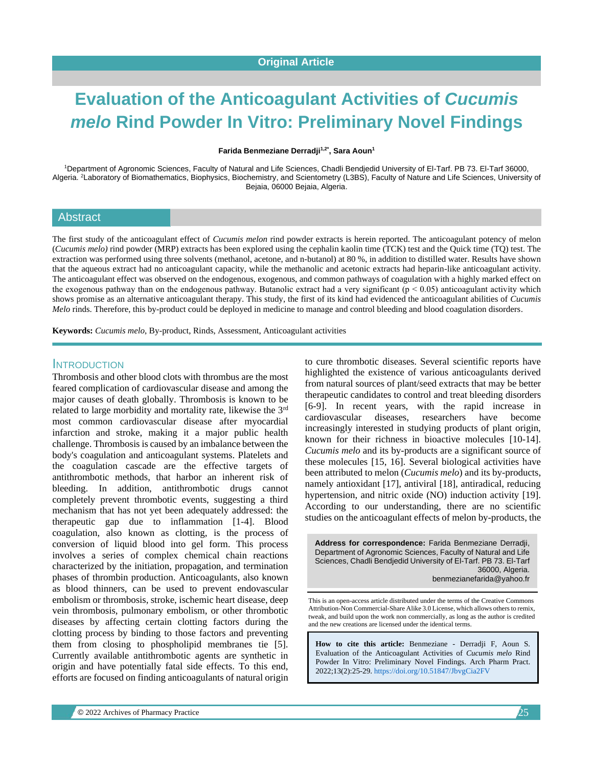# **Evaluation of the Anticoagulant Activities of** *Cucumis melo* **Rind Powder In Vitro: Preliminary Novel Findings**

**Farida Benmeziane Derradji1,2\*, Sara Aoun<sup>1</sup>**

<sup>1</sup>Department of Agronomic Sciences, Faculty of Natural and Life Sciences, Chadli Bendjedid University of El-Tarf. PB 73. El-Tarf 36000, Algeria. <sup>2</sup>Laboratory of Biomathematics, Biophysics, Biochemistry, and Scientometry (L3BS), Faculty of Nature and Life Sciences, University of Bejaia, 06000 Bejaia, Algeria.

#### Abstract

The first study of the anticoagulant effect of *Cucumis melon* rind powder extracts is herein reported. The anticoagulant potency of melon (*Cucumis melo)* rind powder (MRP) extracts has been explored using the cephalin kaolin time (TCK) test and the Quick time (TQ) test. The extraction was performed using three solvents (methanol, acetone, and n-butanol) at 80 %, in addition to distilled water. Results have shown that the aqueous extract had no anticoagulant capacity, while the methanolic and acetonic extracts had heparin-like anticoagulant activity. The anticoagulant effect was observed on the endogenous, exogenous, and common pathways of coagulation with a highly marked effect on the exogenous pathway than on the endogenous pathway. Butanolic extract had a very significant ( $p < 0.05$ ) anticoagulant activity which shows promise as an alternative anticoagulant therapy. This study, the first of its kind had evidenced the anticoagulant abilities of *Cucumis Melo* rinds. Therefore, this by-product could be deployed in medicine to manage and control bleeding and blood coagulation disorders.

**Keywords:** *Cucumis melo*, By-product, Rinds, Assessment, Anticoagulant activities

#### INTRODUCTION

Thrombosis and other blood clots with thrombus are the most feared complication of cardiovascular disease and among the major causes of death globally. Thrombosis is known to be related to large morbidity and mortality rate, likewise the 3rd most common cardiovascular disease after myocardial infarction and stroke, making it a major public health challenge. Thrombosis is caused by an imbalance between the body's coagulation and anticoagulant systems. Platelets and the coagulation cascade are the effective targets of antithrombotic methods, that harbor an inherent risk of bleeding. In addition, antithrombotic drugs cannot completely prevent thrombotic events, suggesting a third mechanism that has not yet been adequately addressed: the therapeutic gap due to inflammation [1-4]. Blood coagulation, also known as clotting, is the process of conversion of liquid blood into gel form. This process involves a series of complex chemical chain reactions characterized by the initiation, propagation, and termination phases of thrombin production. Anticoagulants, also known as blood thinners, can be used to prevent endovascular embolism or thrombosis, stroke, ischemic heart disease, deep vein thrombosis, pulmonary embolism, or other thrombotic diseases by affecting certain clotting factors during the clotting process by binding to those factors and preventing them from closing to phospholipid membranes tie [5]. Currently available antithrombotic agents are synthetic in origin and have potentially fatal side effects. To this end, efforts are focused on finding anticoagulants of natural origin to cure thrombotic diseases. Several scientific reports have highlighted the existence of various anticoagulants derived from natural sources of plant/seed extracts that may be better therapeutic candidates to control and treat bleeding disorders [6-9]. In recent years, with the rapid increase in cardiovascular diseases, researchers have become increasingly interested in studying products of plant origin, known for their richness in bioactive molecules [10-14]. *Cucumis melo* and its by-products are a significant source of these molecules [15, 16]. Several biological activities have been attributed to melon (*Cucumis melo*) and its by-products, namely antioxidant [17], antiviral [18], antiradical, reducing hypertension, and nitric oxide (NO) induction activity [19]. According to our understanding, there are no scientific studies on the anticoagulant effects of melon by-products, the

**Address for correspondence:** Farida Benmeziane Derradji, Department of Agronomic Sciences, Faculty of Natural and Life Sciences, Chadli Bendjedid University of El-Tarf. PB 73. El-Tarf 36000, Algeria. benmezianefarida@yahoo.fr

This is an open-access article distributed under the terms of the Creative Commons Attribution-Non Commercial-Share Alike 3.0 License, which allows others to remix, tweak, and build upon the work non commercially, as long as the author is credited and the new creations are licensed under the identical terms.

**How to cite this article:** Benmeziane - Derradji F, Aoun S*.*  Evaluation of the Anticoagulant Activities of *Cucumis melo* Rind Powder In Vitro: Preliminary Novel Findings. Arch Pharm Pract. 2022;13(2):25-29[. https://doi.org/10.51847/JbvgCia2FV](https://doi.org/10.51847/JbvgCia2FV)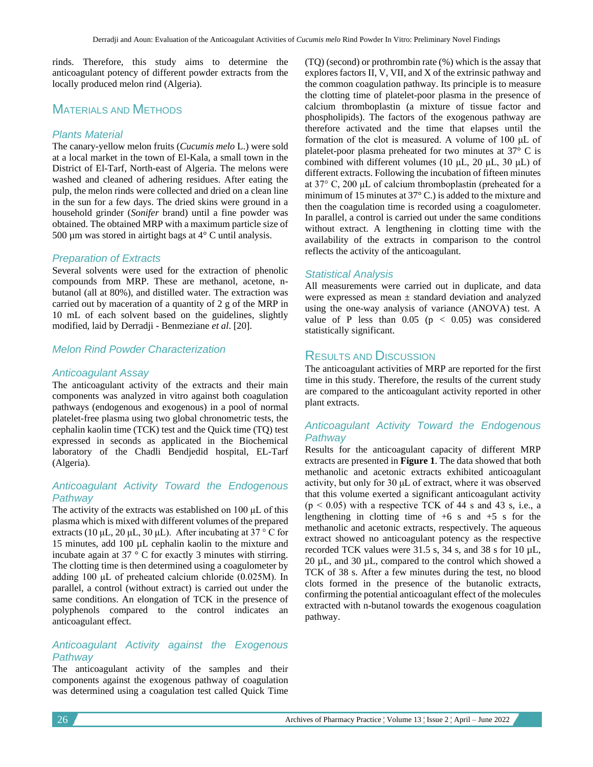rinds. Therefore, this study aims to determine the anticoagulant potency of different powder extracts from the locally produced melon rind (Algeria).

# MATERIALS AND METHODS

#### *Plants Material*

The canary-yellow melon fruits (*Cucumis melo* L.) were sold at a local market in the town of El-Kala, a small town in the District of El-Tarf, North-east of Algeria. The melons were washed and cleaned of adhering residues. After eating the pulp, the melon rinds were collected and dried on a clean line in the sun for a few days. The dried skins were ground in a household grinder (*Sonifer* brand) until a fine powder was obtained. The obtained MRP with a maximum particle size of 500  $\mu$ m was stored in airtight bags at 4 $\degree$  C until analysis.

#### *Preparation of Extracts*

Several solvents were used for the extraction of phenolic compounds from MRP. These are methanol, acetone, nbutanol (all at 80%), and distilled water. The extraction was carried out by maceration of a quantity of 2 g of the MRP in 10 mL of each solvent based on the guidelines, slightly modified, laid by Derradji - Benmeziane *et al*. [20].

#### *Melon Rind Powder Characterization*

#### *Anticoagulant Assay*

The anticoagulant activity of the extracts and their main components was analyzed in vitro against both coagulation pathways (endogenous and exogenous) in a pool of normal platelet-free plasma using two global chronometric tests, the cephalin kaolin time (TCK) test and the Quick time (TQ) test expressed in seconds as applicated in the Biochemical laboratory of the Chadli Bendjedid hospital, EL-Tarf (Algeria).

#### *Anticoagulant Activity Toward the Endogenous Pathway*

The activity of the extracts was established on 100 μL of this plasma which is mixed with different volumes of the prepared extracts (10 μL, 20 μL, 30 μL). After incubating at 37 ° C for 15 minutes, add 100 µL cephalin kaolin to the mixture and incubate again at 37 ° C for exactly 3 minutes with stirring. The clotting time is then determined using a coagulometer by adding 100 μL of preheated calcium chloride (0.025M). In parallel, a control (without extract) is carried out under the same conditions. An elongation of TCK in the presence of polyphenols compared to the control indicates an anticoagulant effect.

#### *Anticoagulant Activity against the Exogenous Pathway*

The anticoagulant activity of the samples and their components against the exogenous pathway of coagulation was determined using a coagulation test called Quick Time

(TQ) (second) or prothrombin rate (%) which is the assay that explores factors II, V, VII, and X of the extrinsic pathway and the common coagulation pathway. Its principle is to measure the clotting time of platelet-poor plasma in the presence of calcium thromboplastin (a mixture of tissue factor and phospholipids). The factors of the exogenous pathway are therefore activated and the time that elapses until the formation of the clot is measured. A volume of 100 μL of platelet-poor plasma preheated for two minutes at 37° C is combined with different volumes (10 μL, 20 μL, 30 μL) of different extracts. Following the incubation of fifteen minutes at 37° C, 200 μL of calcium thromboplastin (preheated for a minimum of 15 minutes at 37° C.) is added to the mixture and then the coagulation time is recorded using a coagulometer. In parallel, a control is carried out under the same conditions without extract. A lengthening in clotting time with the availability of the extracts in comparison to the control reflects the activity of the anticoagulant.

#### *Statistical Analysis*

All measurements were carried out in duplicate, and data were expressed as mean ± standard deviation and analyzed using the one-way analysis of variance (ANOVA) test. A value of P less than  $0.05$  ( $p < 0.05$ ) was considered statistically significant.

### RESULTS AND DISCUSSION

The anticoagulant activities of MRP are reported for the first time in this study. Therefore, the results of the current study are compared to the anticoagulant activity reported in other plant extracts.

#### *Anticoagulant Activity Toward the Endogenous Pathway*

Results for the anticoagulant capacity of different MRP extracts are presented in **Figure 1**. The data showed that both methanolic and acetonic extracts exhibited anticoagulant activity, but only for 30 μL of extract, where it was observed that this volume exerted a significant anticoagulant activity  $(p < 0.05)$  with a respective TCK of 44 s and 43 s, i.e., a lengthening in clotting time of  $+6$  s and  $+5$  s for the methanolic and acetonic extracts, respectively. The aqueous extract showed no anticoagulant potency as the respective recorded TCK values were 31.5 s, 34 s, and 38 s for 10 µL, 20 µL, and 30 µL, compared to the control which showed a TCK of 38 s. After a few minutes during the test, no blood clots formed in the presence of the butanolic extracts, confirming the potential anticoagulant effect of the molecules extracted with n-butanol towards the exogenous coagulation pathway.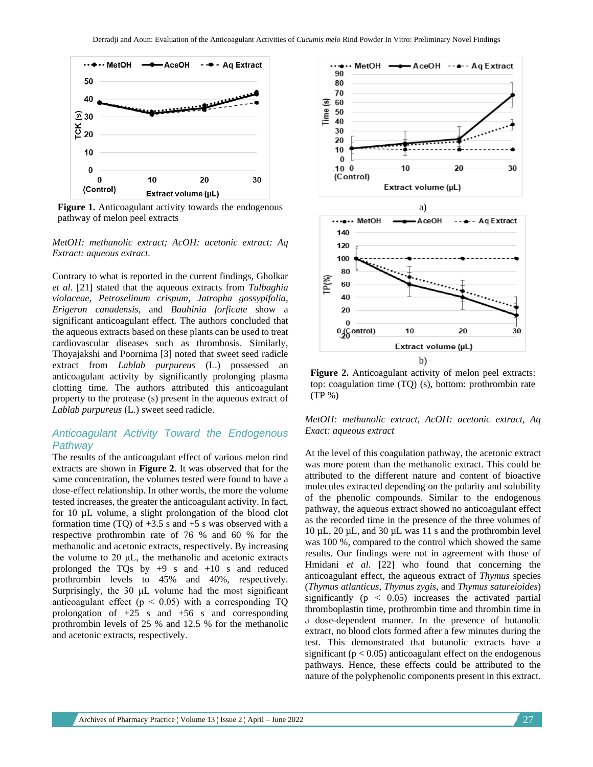

**Figure 1.** Anticoagulant activity towards the endogenous pathway of melon peel extracts

*MetOH: methanolic extract; AcOH: acetonic extract: Aq Extract: aqueous extract.*

Contrary to what is reported in the current findings, Gholkar *et al*. [21] stated that the aqueous extracts from *Tulbaghia violaceae*, *Petroselinum crispum*, *Jatropha gossypifolia*, *Erigeron canadensis,* and *Bauhinia forficate* show a significant anticoagulant effect. The authors concluded that the aqueous extracts based on these plants can be used to treat cardiovascular diseases such as thrombosis. Similarly, Thoyajakshi and Poornima [3] noted that sweet seed radicle extract from *Lablab purpureus* (L.) possessed an anticoagulant activity by significantly prolonging plasma clotting time. The authors attributed this anticoagulant property to the protease (s) present in the aqueous extract of *Lablab purpureus* (L.) sweet seed radicle.

#### *Anticoagulant Activity Toward the Endogenous Pathway*

The results of the anticoagulant effect of various melon rind extracts are shown in **Figure 2**. It was observed that for the same concentration, the volumes tested were found to have a dose-effect relationship. In other words, the more the volume tested increases, the greater the anticoagulant activity. In fact, for 10 µL volume, a slight prolongation of the blood clot formation time (TQ) of  $+3.5$  s and  $+5$  s was observed with a respective prothrombin rate of 76 % and 60 % for the methanolic and acetonic extracts, respectively. By increasing the volume to 20  $\mu$ L, the methanolic and acetonic extracts prolonged the TQs by  $+9$  s and  $+10$  s and reduced prothrombin levels to 45% and 40%, respectively. Surprisingly, the 30 μL volume had the most significant anticoagulant effect ( $p < 0.05$ ) with a corresponding TQ prolongation of  $+25$  s and  $+56$  s and corresponding prothrombin levels of 25 % and 12.5 % for the methanolic and acetonic extracts, respectively.



Figure 2. Anticoagulant activity of melon peel extracts: top: coagulation time (TQ) (s), bottom: prothrombin rate (TP %)

*MetOH: methanolic extract, AcOH: acetonic extract, Aq Exact: aqueous extract*

At the level of this coagulation pathway, the acetonic extract was more potent than the methanolic extract. This could be attributed to the different nature and content of bioactive molecules extracted depending on the polarity and solubility of the phenolic compounds. Similar to the endogenous pathway, the aqueous extract showed no anticoagulant effect as the recorded time in the presence of the three volumes of 10 µL, 20 µL, and 30 µL was 11 s and the prothrombin level was 100 %, compared to the control which showed the same results. Our findings were not in agreement with those of Hmidani *et al*. [22] who found that concerning the anticoagulant effect, the aqueous extract of *Thymus* species (*Thymus atlanticus*, *Thymus zygis,* and *Thymus satureioides*) significantly ( $p < 0.05$ ) increases the activated partial thromboplastin time, prothrombin time and thrombin time in a dose-dependent manner. In the presence of butanolic extract, no blood clots formed after a few minutes during the test. This demonstrated that butanolic extracts have a significant ( $p < 0.05$ ) anticoagulant effect on the endogenous pathways. Hence, these effects could be attributed to the nature of the polyphenolic components present in this extract.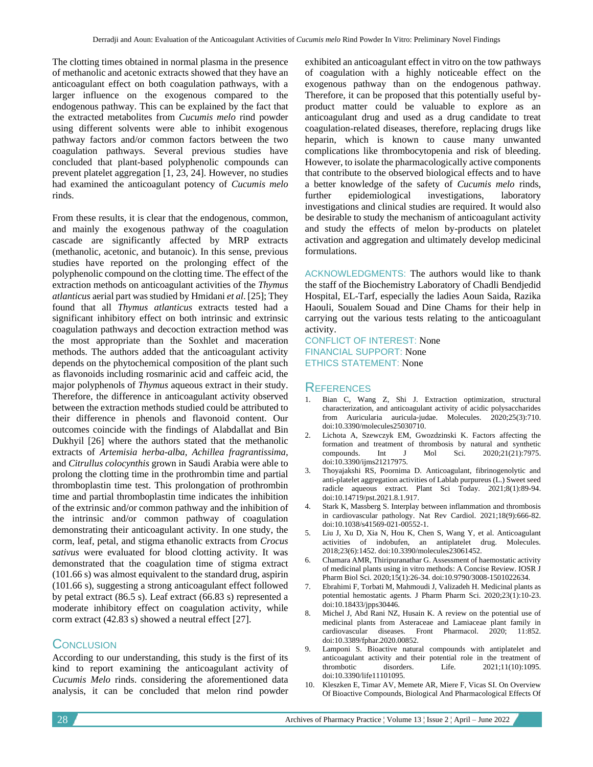The clotting times obtained in normal plasma in the presence of methanolic and acetonic extracts showed that they have an anticoagulant effect on both coagulation pathways, with a larger influence on the exogenous compared to the endogenous pathway. This can be explained by the fact that the extracted metabolites from *Cucumis melo* rind powder using different solvents were able to inhibit exogenous pathway factors and/or common factors between the two coagulation pathways. Several previous studies have concluded that plant-based polyphenolic compounds can prevent platelet aggregation [1, 23, 24]. However, no studies had examined the anticoagulant potency of *Cucumis melo* rinds.

From these results, it is clear that the endogenous, common, and mainly the exogenous pathway of the coagulation cascade are significantly affected by MRP extracts (methanolic, acetonic, and butanoic). In this sense, previous studies have reported on the prolonging effect of the polyphenolic compound on the clotting time. The effect of the extraction methods on anticoagulant activities of the *Thymus atlanticus* aerial part was studied by Hmidani *et al*. [25]; They found that all *Thymus atlanticus* extracts tested had a significant inhibitory effect on both intrinsic and extrinsic coagulation pathways and decoction extraction method was the most appropriate than the Soxhlet and maceration methods. The authors added that the anticoagulant activity depends on the phytochemical composition of the plant such as flavonoids including rosmarinic acid and caffeic acid, the major polyphenols of *Thymus* aqueous extract in their study. Therefore, the difference in anticoagulant activity observed between the extraction methods studied could be attributed to their difference in phenols and flavonoid content. Our outcomes coincide with the findings of Alabdallat and Bin Dukhyil [26] where the authors stated that the methanolic extracts of *Artemisia herba-alba*, *Achillea fragrantissima,* and *Citrullus colocynthis* grown in Saudi Arabia were able to prolong the clotting time in the prothrombin time and partial thromboplastin time test. This prolongation of prothrombin time and partial thromboplastin time indicates the inhibition of the extrinsic and/or common pathway and the inhibition of the intrinsic and/or common pathway of coagulation demonstrating their anticoagulant activity. In one study, the corm, leaf, petal, and stigma ethanolic extracts from *Crocus sativus* were evaluated for blood clotting activity. It was demonstrated that the coagulation time of stigma extract (101.66 s) was almost equivalent to the standard drug, aspirin (101.66 s), suggesting a strong anticoagulant effect followed by petal extract (86.5 s). Leaf extract (66.83 s) represented a moderate inhibitory effect on coagulation activity, while corm extract (42.83 s) showed a neutral effect [27].

## **CONCLUSION**

According to our understanding, this study is the first of its kind to report examining the anticoagulant activity of *Cucumis Melo* rinds. considering the aforementioned data analysis, it can be concluded that melon rind powder exhibited an anticoagulant effect in vitro on the tow pathways of coagulation with a highly noticeable effect on the exogenous pathway than on the endogenous pathway. Therefore, it can be proposed that this potentially useful byproduct matter could be valuable to explore as an anticoagulant drug and used as a drug candidate to treat coagulation-related diseases, therefore, replacing drugs like heparin, which is known to cause many unwanted complications like thrombocytopenia and risk of bleeding. However, to isolate the pharmacologically active components that contribute to the observed biological effects and to have a better knowledge of the safety of *Cucumis melo* rinds, further epidemiological investigations, laboratory investigations and clinical studies are required. It would also be desirable to study the mechanism of anticoagulant activity and study the effects of melon by-products on platelet activation and aggregation and ultimately develop medicinal formulations.

ACKNOWLEDGMENTS: The authors would like to thank the staff of the Biochemistry Laboratory of Chadli Bendjedid Hospital, EL-Tarf, especially the ladies Aoun Saida, Razika Haouli, Soualem Souad and Dine Chams for their help in carrying out the various tests relating to the anticoagulant activity.

CONFLICT OF INTEREST: None FINANCIAL SUPPORT: None ETHICS STATEMENT: None

#### **REFERENCES**

- 1. Bian C, Wang Z, Shi J. Extraction optimization, structural characterization, and anticoagulant activity of acidic polysaccharides from Auricularia auricula-judae. Molecules. 2020;25(3):710. doi:10.3390/molecules25030710.
- 2. Lichota A, Szewczyk EM, Gwozdzinski K. Factors affecting the formation and treatment of thrombosis by natural and synthetic compounds. Int J Mol Sci. 2020:21(21):7975. compounds. Int J Mol Sci. 2020;21(21):7975. doi:10.3390/ijms21217975.
- 3. Thoyajakshi RS, Poornima D. Anticoagulant, fibrinogenolytic and anti-platelet aggregation activities of Lablab purpureus (L.) Sweet seed radicle aqueous extract. Plant Sci Today. 2021;8(1):89-94. doi:10.14719/pst.2021.8.1.917.
- 4. Stark K, Massberg S. Interplay between inflammation and thrombosis in cardiovascular pathology. Nat Rev Cardiol. 2021;18(9):666-82. doi:10.1038/s41569-021-00552-1.
- 5. Liu J, Xu D, Xia N, Hou K, Chen S, Wang Y, et al. Anticoagulant activities of indobufen, an antiplatelet drug. Molecules. 2018;23(6):1452. doi:10.3390/molecules23061452.
- 6. Chamara AMR, Thiripuranathar G. Assessment of haemostatic activity of medicinal plants using in vitro methods: A Concise Review. IOSR J Pharm Biol Sci. 2020;15(1):26-34. doi:10.9790/3008-1501022634.
- 7. Ebrahimi F, Torbati M, Mahmoudi J, Valizadeh H. Medicinal plants as potential hemostatic agents. J Pharm Pharm Sci. 2020;23(1):10-23. doi:10.18433/jpps30446.
- 8. Michel J, Abd Rani NZ, Husain K. A review on the potential use of medicinal plants from Asteraceae and Lamiaceae plant family in cardiovascular diseases. Front Pharmacol. 2020; 11:852. doi:10.3389/fphar.2020.00852.
- 9. Lamponi S. Bioactive natural compounds with antiplatelet and anticoagulant activity and their potential role in the treatment of thrombotic disorders. Life. 2021;11(10):1095. doi:10.3390/life11101095.
- 10. Kleszken E, Timar AV, Memete AR, Miere F, Vicas SI. On Overview Of Bioactive Compounds, Biological And Pharmacological Effects Of